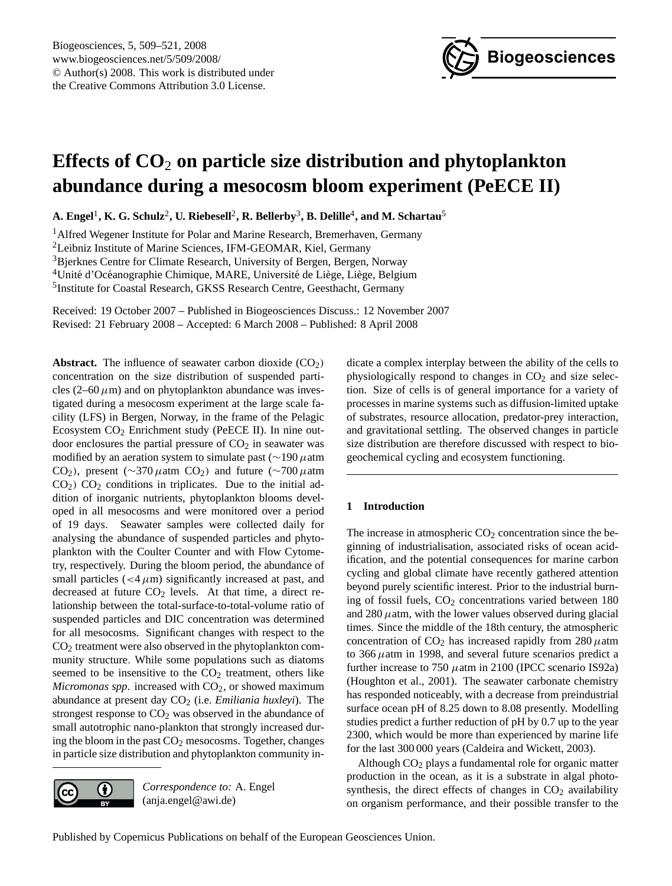

# <span id="page-0-0"></span>**Effects of CO**<sup>2</sup> **on particle size distribution and phytoplankton abundance during a mesocosm bloom experiment (PeECE II)**

 $\mathbf{A.~Engel}^{1}, \mathbf{K.~G.~Schulz}^{2}, \mathbf{U.~Riebesell}^{2}, \mathbf{R.~Bellerby}^{3}, \mathbf{B.~Delille}^{4}, \text{and M.~Schartau}^{5}$ 

<sup>1</sup> Alfred Wegener Institute for Polar and Marine Research, Bremerhaven, Germany

<sup>2</sup>Leibniz Institute of Marine Sciences, IFM-GEOMAR, Kiel, Germany

<sup>3</sup>Bjerknes Centre for Climate Research, University of Bergen, Bergen, Norway

 $4$ Unité d'Océanographie Chimique, MARE, Université de Liège, Liège, Belgium

<sup>5</sup>Institute for Coastal Research, GKSS Research Centre, Geesthacht, Germany

Received: 19 October 2007 – Published in Biogeosciences Discuss.: 12 November 2007 Revised: 21 February 2008 – Accepted: 6 March 2008 – Published: 8 April 2008

**Abstract.** The influence of seawater carbon dioxide  $(CO_2)$ concentration on the size distribution of suspended particles (2–60  $\mu$ m) and on phytoplankton abundance was investigated during a mesocosm experiment at the large scale facility (LFS) in Bergen, Norway, in the frame of the Pelagic Ecosystem  $CO<sub>2</sub>$  Enrichment study (PeECE II). In nine outdoor enclosures the partial pressure of  $CO<sub>2</sub>$  in seawater was modified by an aeration system to simulate past ( $\sim$ 190 µatm CO<sub>2</sub>), present (∼370  $\mu$ atm CO<sub>2</sub>) and future (∼700  $\mu$ atm  $CO<sub>2</sub>$ )  $CO<sub>2</sub>$  conditions in triplicates. Due to the initial addition of inorganic nutrients, phytoplankton blooms developed in all mesocosms and were monitored over a period of 19 days. Seawater samples were collected daily for analysing the abundance of suspended particles and phytoplankton with the Coulter Counter and with Flow Cytometry, respectively. During the bloom period, the abundance of small particles  $\left($  <4 $\mu$ m) significantly increased at past, and decreased at future  $CO<sub>2</sub>$  levels. At that time, a direct relationship between the total-surface-to-total-volume ratio of suspended particles and DIC concentration was determined for all mesocosms. Significant changes with respect to the  $CO<sub>2</sub>$  treatment were also observed in the phytoplankton community structure. While some populations such as diatoms seemed to be insensitive to the  $CO<sub>2</sub>$  treatment, others like *Micromonas spp.* increased with  $CO<sub>2</sub>$ , or showed maximum abundance at present day CO<sub>2</sub> (i.e. *Emiliania huxleyi*). The strongest response to  $CO<sub>2</sub>$  was observed in the abundance of small autotrophic nano-plankton that strongly increased during the bloom in the past  $CO<sub>2</sub>$  mesocosms. Together, changes in particle size distribution and phytoplankton community in-



*Correspondence to:* A. Engel (anja.engel@awi.de)

dicate a complex interplay between the ability of the cells to physiologically respond to changes in  $CO<sub>2</sub>$  and size selection. Size of cells is of general importance for a variety of processes in marine systems such as diffusion-limited uptake of substrates, resource allocation, predator-prey interaction, and gravitational settling. The observed changes in particle size distribution are therefore discussed with respect to biogeochemical cycling and ecosystem functioning.

## **1 Introduction**

The increase in atmospheric  $CO<sub>2</sub>$  concentration since the beginning of industrialisation, associated risks of ocean acidification, and the potential consequences for marine carbon cycling and global climate have recently gathered attention beyond purely scientific interest. Prior to the industrial burning of fossil fuels, CO<sub>2</sub> concentrations varied between 180 and  $280 \mu$ atm, with the lower values observed during glacial times. Since the middle of the 18th century, the atmospheric concentration of  $CO<sub>2</sub>$  has increased rapidly from 280  $\mu$ atm to  $366 \mu$ atm in 1998, and several future scenarios predict a further increase to 750  $\mu$ atm in 2100 (IPCC scenario IS92a) (Houghton et al., 2001). The seawater carbonate chemistry has responded noticeably, with a decrease from preindustrial surface ocean pH of 8.25 down to 8.08 presently. Modelling studies predict a further reduction of pH by 0.7 up to the year 2300, which would be more than experienced by marine life for the last 300 000 years (Caldeira and Wickett, 2003).

Although  $CO<sub>2</sub>$  plays a fundamental role for organic matter production in the ocean, as it is a substrate in algal photosynthesis, the direct effects of changes in  $CO<sub>2</sub>$  availability on organism performance, and their possible transfer to the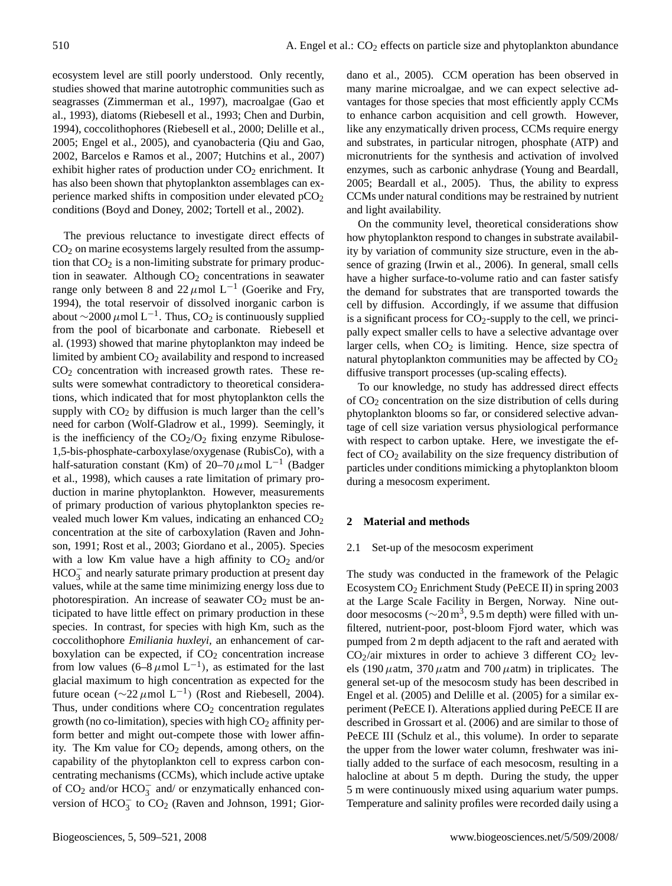ecosystem level are still poorly understood. Only recently, studies showed that marine autotrophic communities such as seagrasses (Zimmerman et al., 1997), macroalgae (Gao et al., 1993), diatoms (Riebesell et al., 1993; Chen and Durbin, 1994), coccolithophores (Riebesell et al., 2000; Delille et al., 2005; Engel et al., 2005), and cyanobacteria (Qiu and Gao, 2002, Barcelos e Ramos et al., 2007; Hutchins et al., 2007) exhibit higher rates of production under  $CO<sub>2</sub>$  enrichment. It has also been shown that phytoplankton assemblages can experience marked shifts in composition under elevated  $pCO<sub>2</sub>$ conditions (Boyd and Doney, 2002; Tortell et al., 2002).

The previous reluctance to investigate direct effects of  $CO<sub>2</sub>$  on marine ecosystems largely resulted from the assumption that  $CO<sub>2</sub>$  is a non-limiting substrate for primary production in seawater. Although  $CO<sub>2</sub>$  concentrations in seawater range only between 8 and 22  $\mu$ mol L<sup>-1</sup> (Goerike and Fry, 1994), the total reservoir of dissolved inorganic carbon is about  $\sim$ 2000 µmol L<sup>-1</sup>. Thus, CO<sub>2</sub> is continuously supplied from the pool of bicarbonate and carbonate. Riebesell et al. (1993) showed that marine phytoplankton may indeed be limited by ambient  $CO<sub>2</sub>$  availability and respond to increased  $CO<sub>2</sub>$  concentration with increased growth rates. These results were somewhat contradictory to theoretical considerations, which indicated that for most phytoplankton cells the supply with  $CO<sub>2</sub>$  by diffusion is much larger than the cell's need for carbon (Wolf-Gladrow et al., 1999). Seemingly, it is the inefficiency of the  $CO<sub>2</sub>/O<sub>2</sub>$  fixing enzyme Ribulose-1,5-bis-phosphate-carboxylase/oxygenase (RubisCo), with a half-saturation constant (Km) of 20–70  $\mu$ mol L<sup>-1</sup> (Badger et al., 1998), which causes a rate limitation of primary production in marine phytoplankton. However, measurements of primary production of various phytoplankton species revealed much lower Km values, indicating an enhanced  $CO<sub>2</sub>$ concentration at the site of carboxylation (Raven and Johnson, 1991; Rost et al., 2003; Giordano et al., 2005). Species with a low Km value have a high affinity to  $CO<sub>2</sub>$  and/or HCO<sub>3</sub> and nearly saturate primary production at present day values, while at the same time minimizing energy loss due to photorespiration. An increase of seawater  $CO<sub>2</sub>$  must be anticipated to have little effect on primary production in these species. In contrast, for species with high Km, such as the coccolithophore *Emiliania huxleyi,* an enhancement of carboxylation can be expected, if  $CO<sub>2</sub>$  concentration increase from low values (6–8µmol L<sup>-1</sup>), as estimated for the last glacial maximum to high concentration as expected for the future ocean ( $\sim$ 22 μmol L<sup>-1</sup>) (Rost and Riebesell, 2004). Thus, under conditions where  $CO<sub>2</sub>$  concentration regulates growth (no co-limitation), species with high  $CO<sub>2</sub>$  affinity perform better and might out-compete those with lower affinity. The Km value for  $CO<sub>2</sub>$  depends, among others, on the capability of the phytoplankton cell to express carbon concentrating mechanisms (CCMs), which include active uptake of  $CO_2$  and/or  $HCO_3^-$  and/ or enzymatically enhanced conversion of  $HCO_3^-$  to  $CO_2$  (Raven and Johnson, 1991; Giordano et al., 2005). CCM operation has been observed in many marine microalgae, and we can expect selective advantages for those species that most efficiently apply CCMs to enhance carbon acquisition and cell growth. However, like any enzymatically driven process, CCMs require energy and substrates, in particular nitrogen, phosphate (ATP) and micronutrients for the synthesis and activation of involved enzymes, such as carbonic anhydrase (Young and Beardall, 2005; Beardall et al., 2005). Thus, the ability to express CCMs under natural conditions may be restrained by nutrient and light availability.

On the community level, theoretical considerations show how phytoplankton respond to changes in substrate availability by variation of community size structure, even in the absence of grazing (Irwin et al., 2006). In general, small cells have a higher surface-to-volume ratio and can faster satisfy the demand for substrates that are transported towards the cell by diffusion. Accordingly, if we assume that diffusion is a significant process for  $CO_2$ -supply to the cell, we principally expect smaller cells to have a selective advantage over larger cells, when  $CO<sub>2</sub>$  is limiting. Hence, size spectra of natural phytoplankton communities may be affected by  $CO<sub>2</sub>$ diffusive transport processes (up-scaling effects).

To our knowledge, no study has addressed direct effects of  $CO<sub>2</sub>$  concentration on the size distribution of cells during phytoplankton blooms so far, or considered selective advantage of cell size variation versus physiological performance with respect to carbon uptake. Here, we investigate the effect of  $CO<sub>2</sub>$  availability on the size frequency distribution of particles under conditions mimicking a phytoplankton bloom during a mesocosm experiment.

## **2 Material and methods**

## 2.1 Set-up of the mesocosm experiment

The study was conducted in the framework of the Pelagic Ecosystem CO<sub>2</sub> Enrichment Study (PeECE II) in spring 2003 at the Large Scale Facility in Bergen, Norway. Nine outdoor mesocosms ( $\sim$ 20 m<sup>3</sup>, 9.5 m depth) were filled with unfiltered, nutrient-poor, post-bloom Fjord water, which was pumped from 2 m depth adjacent to the raft and aerated with  $CO<sub>2</sub>/air$  mixtures in order to achieve 3 different  $CO<sub>2</sub>$  levels (190  $\mu$ atm, 370  $\mu$ atm and 700  $\mu$ atm) in triplicates. The general set-up of the mesocosm study has been described in Engel et al. (2005) and Delille et al. (2005) for a similar experiment (PeECE I). Alterations applied during PeECE II are described in Grossart et al. (2006) and are similar to those of PeECE III (Schulz et al., this volume). In order to separate the upper from the lower water column, freshwater was initially added to the surface of each mesocosm, resulting in a halocline at about 5 m depth. During the study, the upper 5 m were continuously mixed using aquarium water pumps. Temperature and salinity profiles were recorded daily using a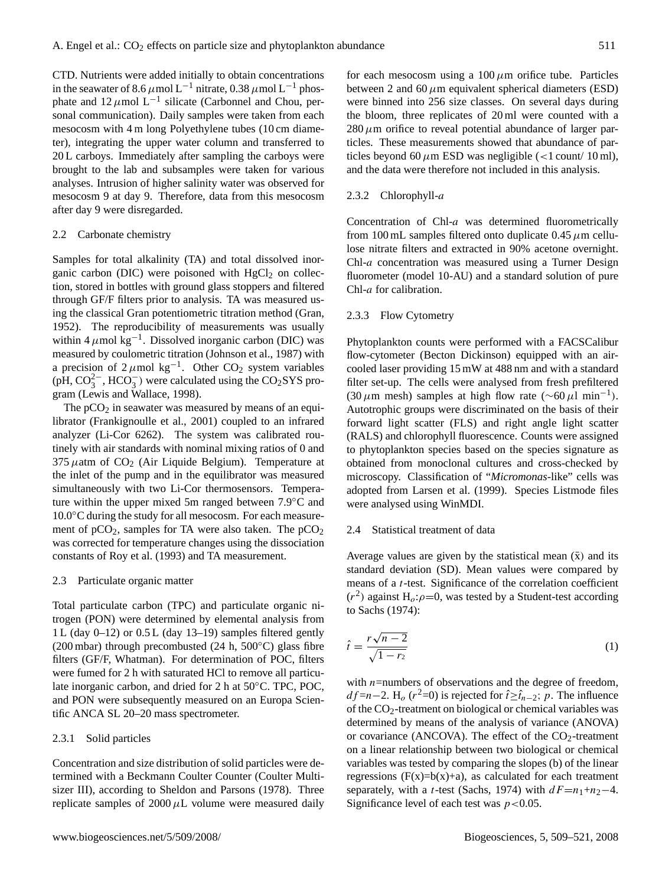CTD. Nutrients were added initially to obtain concentrations in the seawater of 8.6  $\mu$ mol L<sup>-1</sup> nitrate, 0.38  $\mu$ mol L<sup>-1</sup> phosphate and  $12 \mu$ mol  $L^{-1}$  silicate (Carbonnel and Chou, personal communication). Daily samples were taken from each mesocosm with 4 m long Polyethylene tubes (10 cm diameter), integrating the upper water column and transferred to 20 L carboys. Immediately after sampling the carboys were brought to the lab and subsamples were taken for various analyses. Intrusion of higher salinity water was observed for mesocosm 9 at day 9. Therefore, data from this mesocosm after day 9 were disregarded.

#### 2.2 Carbonate chemistry

Samples for total alkalinity (TA) and total dissolved inorganic carbon (DIC) were poisoned with  $HgCl<sub>2</sub>$  on collection, stored in bottles with ground glass stoppers and filtered through GF/F filters prior to analysis. TA was measured using the classical Gran potentiometric titration method (Gran, 1952). The reproducibility of measurements was usually within 4  $\mu$ mol kg<sup>-1</sup>. Dissolved inorganic carbon (DIC) was measured by coulometric titration (Johnson et al., 1987) with a precision of  $2 \mu$ mol kg<sup>-1</sup>. Other CO<sub>2</sub> system variables (pH,  $CO_3^{2-}$ , HCO<sub>3</sub>) were calculated using the CO<sub>2</sub>SYS program (Lewis and Wallace, 1998).

The  $pCO<sub>2</sub>$  in seawater was measured by means of an equilibrator (Frankignoulle et al., 2001) coupled to an infrared analyzer (Li-Cor 6262). The system was calibrated routinely with air standards with nominal mixing ratios of 0 and 375  $\mu$ atm of CO<sub>2</sub> (Air Liquide Belgium). Temperature at the inlet of the pump and in the equilibrator was measured simultaneously with two Li-Cor thermosensors. Temperature within the upper mixed 5m ranged between 7.9◦C and 10.0◦C during the study for all mesocosm. For each measurement of  $pCO<sub>2</sub>$ , samples for TA were also taken. The  $pCO<sub>2</sub>$ was corrected for temperature changes using the dissociation constants of Roy et al. (1993) and TA measurement.

#### 2.3 Particulate organic matter

Total particulate carbon (TPC) and particulate organic nitrogen (PON) were determined by elemental analysis from 1 L (day 0–12) or 0.5 L (day 13–19) samples filtered gently (200 mbar) through precombusted (24 h,  $500^{\circ}$ C) glass fibre filters (GF/F, Whatman). For determination of POC, filters were fumed for 2 h with saturated HCl to remove all particulate inorganic carbon, and dried for 2 h at 50◦C. TPC, POC, and PON were subsequently measured on an Europa Scientific ANCA SL 20–20 mass spectrometer.

## 2.3.1 Solid particles

Concentration and size distribution of solid particles were determined with a Beckmann Coulter Counter (Coulter Multisizer III), according to Sheldon and Parsons (1978). Three replicate samples of  $2000 \mu L$  volume were measured daily for each mesocosm using a  $100 \mu m$  orifice tube. Particles between 2 and 60  $\mu$ m equivalent spherical diameters (ESD) were binned into 256 size classes. On several days during the bloom, three replicates of 20 ml were counted with a  $280 \mu$ m orifice to reveal potential abundance of larger particles. These measurements showed that abundance of particles beyond 60  $\mu$ m ESD was negligible (<1 count/ 10 ml), and the data were therefore not included in this analysis.

## 2.3.2 Chlorophyll-a

Concentration of Chl-a was determined fluorometrically from 100 mL samples filtered onto duplicate  $0.45 \mu$ m cellulose nitrate filters and extracted in 90% acetone overnight. Chl-a concentration was measured using a Turner Design fluorometer (model 10-AU) and a standard solution of pure Chl-a for calibration.

#### 2.3.3 Flow Cytometry

Phytoplankton counts were performed with a FACSCalibur flow-cytometer (Becton Dickinson) equipped with an aircooled laser providing 15 mW at 488 nm and with a standard filter set-up. The cells were analysed from fresh prefiltered (30  $\mu$ m mesh) samples at high flow rate (~60  $\mu$ l min<sup>-1</sup>). Autotrophic groups were discriminated on the basis of their forward light scatter (FLS) and right angle light scatter (RALS) and chlorophyll fluorescence. Counts were assigned to phytoplankton species based on the species signature as obtained from monoclonal cultures and cross-checked by microscopy. Classification of "*Micromonas*-like" cells was adopted from Larsen et al. (1999). Species Listmode files were analysed using WinMDI.

#### 2.4 Statistical treatment of data

Average values are given by the statistical mean  $(\bar{x})$  and its standard deviation (SD). Mean values were compared by means of a t-test. Significance of the correlation coefficient  $(r^2)$  against H<sub>o</sub>: $\rho$ =0, was tested by a Student-test according to Sachs (1974):

$$
\hat{t} = \frac{r\sqrt{n-2}}{\sqrt{1-r_2}}\tag{1}
$$

with  $n$ =numbers of observations and the degree of freedom,  $df=n-2$ . H<sub>o</sub> (r<sup>2</sup>=0) is rejected for  $\hat{t} \geq \hat{t}_{n-2}$ ; p. The influence of the CO2-treatment on biological or chemical variables was determined by means of the analysis of variance (ANOVA) or covariance (ANCOVA). The effect of the  $CO<sub>2</sub>$ -treatment on a linear relationship between two biological or chemical variables was tested by comparing the slopes (b) of the linear regressions  $(F(x)=b(x)+a)$ , as calculated for each treatment separately, with a t-test (Sachs, 1974) with  $dF=n_1+n_2-4$ . Significance level of each test was  $p < 0.05$ .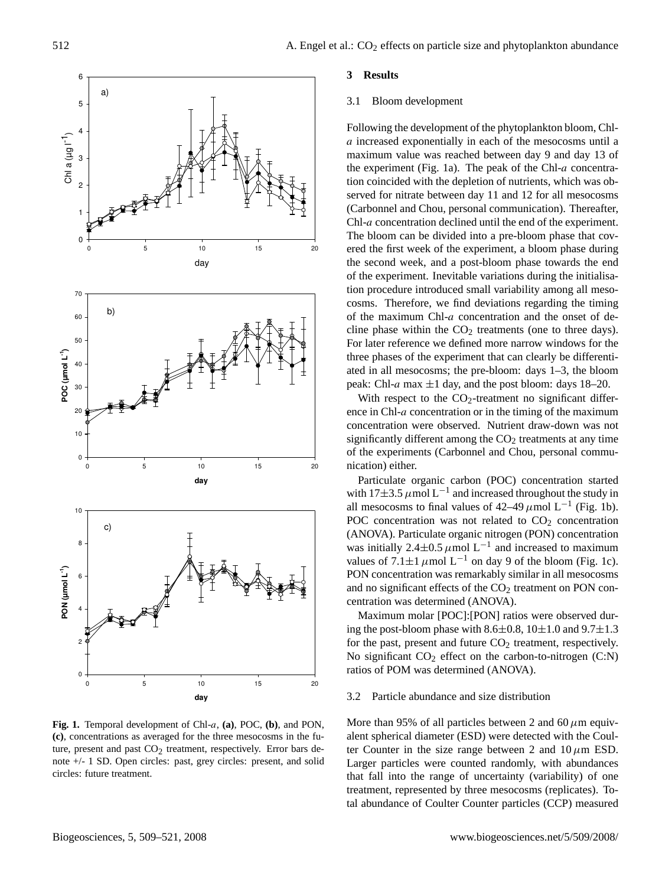

ture, present and past CO<sub>2</sub> treatment, respectively. Error bars de-**Fig. 1.** Temporal development of Chl-a, **(a)**, POC, **(b)**, and PON, **(c)**, concentrations as averaged for the three mesocosms in the funote +/- 1 SD. Open circles: past, grey circles: present, and solid circles: future treatment.

## **3 Results**

#### 3.1 Bloom development

Following the development of the phytoplankton bloom, Chla increased exponentially in each of the mesocosms until a maximum value was reached between day 9 and day 13 of the experiment (Fig. 1a). The peak of the Chl- $a$  concentration coincided with the depletion of nutrients, which was observed for nitrate between day 11 and 12 for all mesocosms (Carbonnel and Chou, personal communication). Thereafter, Chl-a concentration declined until the end of the experiment. The bloom can be divided into a pre-bloom phase that covered the first week of the experiment, a bloom phase during the second week, and a post-bloom phase towards the end of the experiment. Inevitable variations during the initialisation procedure introduced small variability among all mesocosms. Therefore, we find deviations regarding the timing of the maximum Chl-a concentration and the onset of decline phase within the  $CO<sub>2</sub>$  treatments (one to three days). For later reference we defined more narrow windows for the three phases of the experiment that can clearly be differentiated in all mesocosms; the pre-bloom: days 1–3, the bloom peak: Chl-a max  $\pm 1$  day, and the post bloom: days 18–20.

With respect to the  $CO<sub>2</sub>$ -treatment no significant difference in Chl-a concentration or in the timing of the maximum concentration were observed. Nutrient draw-down was not significantly different among the  $CO<sub>2</sub>$  treatments at any time of the experiments (Carbonnel and Chou, personal communication) either.

Particulate organic carbon (POC) concentration started with  $17\pm3.5 \ \mu$ mol L<sup>-1</sup> and increased throughout the study in all mesocosms to final values of  $42-49 \mu$  mol L<sup>-1</sup> (Fig. 1b). POC concentration was not related to  $CO<sub>2</sub>$  concentration (ANOVA). Particulate organic nitrogen (PON) concentration was initially 2.4 $\pm$ 0.5  $\mu$ mol L<sup>-1</sup> and increased to maximum values of  $7.1 \pm 1 \mu$  mol L<sup>-1</sup> on day 9 of the bloom (Fig. 1c). PON concentration was remarkably similar in all mesocosms and no significant effects of the  $CO<sub>2</sub>$  treatment on PON concentration was determined (ANOVA).

Maximum molar [POC]:[PON] ratios were observed during the post-bloom phase with 8.6 $\pm$ 0.8, 10 $\pm$ 1.0 and 9.7 $\pm$ 1.3 for the past, present and future  $CO<sub>2</sub>$  treatment, respectively. No significant  $CO_2$  effect on the carbon-to-nitrogen (C:N) ratios of POM was determined (ANOVA).

## 3.2 Particle abundance and size distribution

More than 95% of all particles between 2 and 60  $\mu$ m equivalent spherical diameter (ESD) were detected with the Coulter Counter in the size range between 2 and  $10 \mu m$  ESD. Larger particles were counted randomly, with abundances that fall into the range of uncertainty (variability) of one treatment, represented by three mesocosms (replicates). Total abundance of Coulter Counter particles (CCP) measured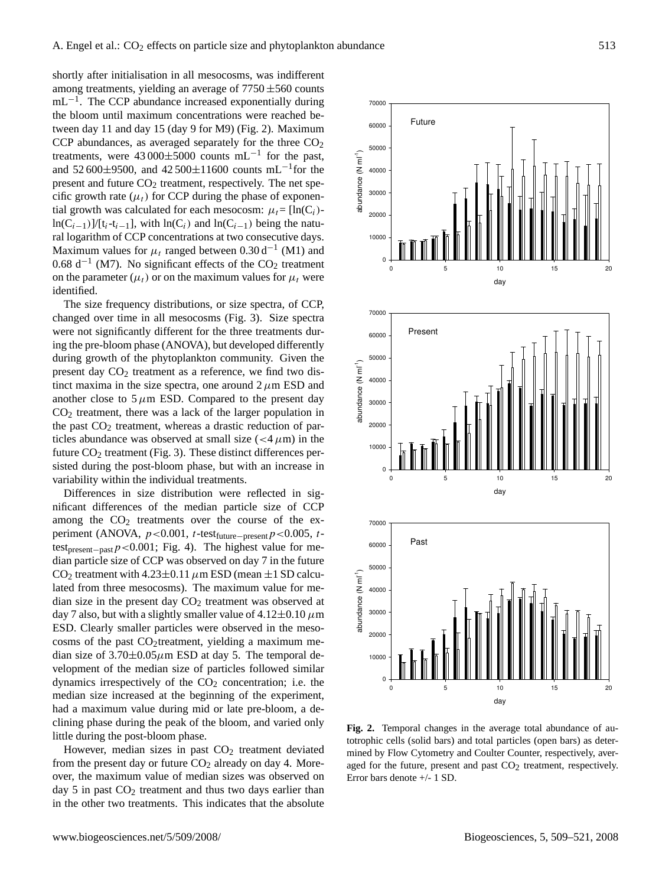shortly after initialisation in all mesocosms, was indifferent among treatments, yielding an average of  $7750 \pm 560$  counts mL<sup>-1</sup>. The CCP abundance increased exponentially during the bloom until maximum concentrations were reached between day 11 and day 15 (day 9 for M9) (Fig. 2). Maximum CCP abundances, as averaged separately for the three  $CO<sub>2</sub>$ treatments, were  $43\,000\pm5000$  counts mL<sup>-1</sup> for the past, and 52600±9500, and 42500±11600 counts mL<sup>-1</sup>for the present and future  $CO<sub>2</sub>$  treatment, respectively. The net specific growth rate  $(\mu_t)$  for CCP during the phase of exponential growth was calculated for each mesocosm:  $\mu_t = [\ln(C_i) \ln(C_{i-1})$ ]/[t<sub>i</sub>-t<sub>i−1</sub>], with  $\ln(C_i)$  and  $\ln(C_{i-1})$  being the natural logarithm of CCP concentrations at two consecutive days. Maximum values for  $\mu_t$  ranged between 0.30 d<sup>-1</sup> (M1) and  $0.68$  d<sup>-1</sup> (M7). No significant effects of the CO<sub>2</sub> treatment on the parameter  $(\mu_t)$  or on the maximum values for  $\mu_t$  were identified.

The size frequency distributions, or size spectra, of CCP, changed over time in all mesocosms (Fig. 3). Size spectra were not significantly different for the three treatments during the pre-bloom phase (ANOVA), but developed differently during growth of the phytoplankton community. Given the present day  $CO<sub>2</sub>$  treatment as a reference, we find two distinct maxima in the size spectra, one around  $2 \mu m$  ESD and another close to  $5 \mu m$  ESD. Compared to the present day  $CO<sub>2</sub>$  treatment, there was a lack of the larger population in the past  $CO<sub>2</sub>$  treatment, whereas a drastic reduction of particles abundance was observed at small size  $(<4 \mu m)$  in the future  $CO<sub>2</sub>$  treatment (Fig. 3). These distinct differences persisted during the post-bloom phase, but with an increase in variability within the individual treatments.

Differences in size distribution were reflected in significant differences of the median particle size of CCP among the  $CO<sub>2</sub>$  treatments over the course of the experiment (ANOVA,  $p < 0.001$ , t-test<sub>future−present</sub>  $p < 0.005$ , ttest<sub>present−past</sub> $p$ <0.001; Fig. 4). The highest value for median particle size of CCP was observed on day 7 in the future CO<sub>2</sub> treatment with  $4.23\pm0.11 \mu$ m ESD (mean  $\pm1$  SD calculated from three mesocosms). The maximum value for median size in the present day  $CO<sub>2</sub>$  treatment was observed at day 7 also, but with a slightly smaller value of  $4.12\pm0.10 \,\mu m$ ESD. Clearly smaller particles were observed in the mesocosms of the past CO<sub>2</sub>treatment, yielding a maximum median size of  $3.70\pm0.05\mu$ m ESD at day 5. The temporal development of the median size of particles followed similar dynamics irrespectively of the  $CO<sub>2</sub>$  concentration; i.e. the median size increased at the beginning of the experiment, had a maximum value during mid or late pre-bloom, a declining phase during the peak of the bloom, and varied only little during the post-bloom phase.

However, median sizes in past  $CO<sub>2</sub>$  treatment deviated from the present day or future  $CO<sub>2</sub>$  already on day 4. Moreover, the maximum value of median sizes was observed on day 5 in past  $CO<sub>2</sub>$  treatment and thus two days earlier than in the other two treatments. This indicates that the absolute



mined by Flow Cytometry and Coulter Counter, respectively, aver-**Fig. 2.** Temporal changes in the average total abundance of autotrophic cells (solid bars) and total particles (open bars) as deteraged for the future, present and past  $CO<sub>2</sub>$  treatment, respectively. Error bars denote +/- 1 SD.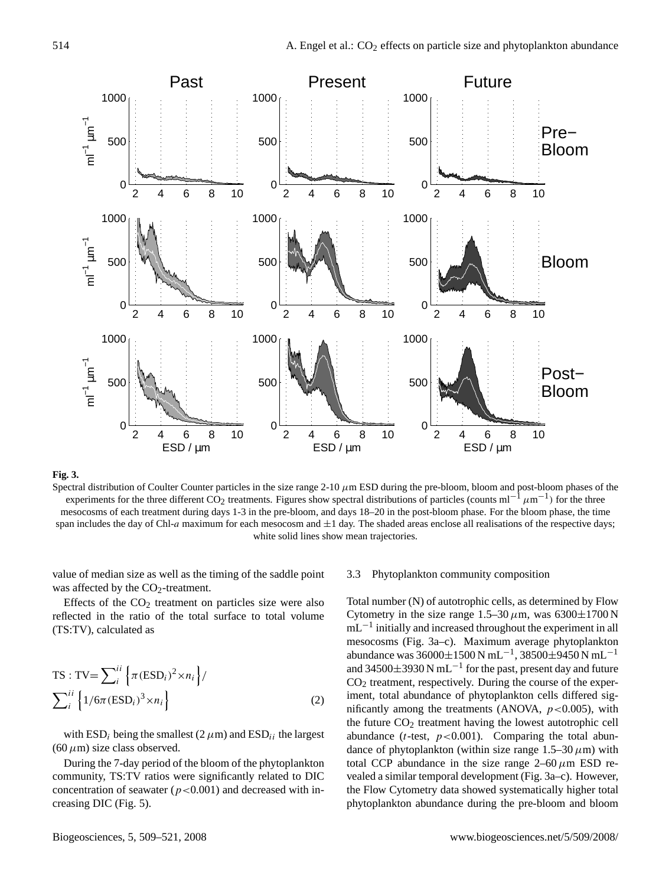

## **Fig. 3.**

Spectral distribution of Coulter Counter particles in the size range  $2-10 \mu m$  ESD during the pre-bloom, bloom and post-bloom phases of the experiments for the three different CO<sub>2</sub> treatments. Figures show spectral distributions of particles (counts ml<sup>-1</sup>  $\mu$ m<sup>-1</sup>) for the three mesocosms of each treatment during days 1-3 in the pre-bloom, and days 18–20 in the post-bloom phase. For the bloom phase, the time span includes the day of Chl-a maximum for each mesocosm and  $\pm 1$  day. The shaded areas enclose all realisations of the respective days; white solid lines show mean trajectories.

value of median size as well as the timing of the saddle point was affected by the  $CO<sub>2</sub>$ -treatment.

Effects of the  $CO<sub>2</sub>$  treatment on particles size were also reflected in the ratio of the total surface to total volume (TS:TV), calculated as

$$
\text{TS}: \text{TV} = \sum_{i}^{ii} \left\{ \pi (\text{ESD}_i)^2 \times n_i \right\} / \\ \sum_{i}^{ii} \left\{ 1/6\pi (\text{ESD}_i)^3 \times n_i \right\} \tag{2}
$$

with ESD<sub>i</sub> being the smallest (2  $\mu$ m) and ESD<sub>ii</sub> the largest  $(60 \,\mu\text{m})$  size class observed.

During the 7-day period of the bloom of the phytoplankton community, TS:TV ratios were significantly related to DIC concentration of seawater ( $p < 0.001$ ) and decreased with increasing DIC (Fig. 5).

#### 3.3 Phytoplankton community composition

Total number (N) of autotrophic cells, as determined by Flow Cytometry in the size range  $1.5-30 \,\mu$ m, was  $6300\pm1700$  N mL<sup>-1</sup> initially and increased throughout the experiment in all mesocosms (Fig. 3a–c). Maximum average phytoplankton abundance was  $36000 \pm 1500$  N mL<sup>-1</sup>,  $38500 \pm 9450$  N mL<sup>-1</sup> and 34500 $\pm$ 3930 N mL<sup>-1</sup> for the past, present day and future  $CO<sub>2</sub>$  treatment, respectively. During the course of the experiment, total abundance of phytoplankton cells differed significantly among the treatments (ANOVA,  $p < 0.005$ ), with the future  $CO<sub>2</sub>$  treatment having the lowest autotrophic cell abundance ( $t$ -test,  $p < 0.001$ ). Comparing the total abundance of phytoplankton (within size range  $1.5-30 \,\mu$ m) with total CCP abundance in the size range  $2-60 \mu m$  ESD revealed a similar temporal development (Fig. 3a–c). However, the Flow Cytometry data showed systematically higher total phytoplankton abundance during the pre-bloom and bloom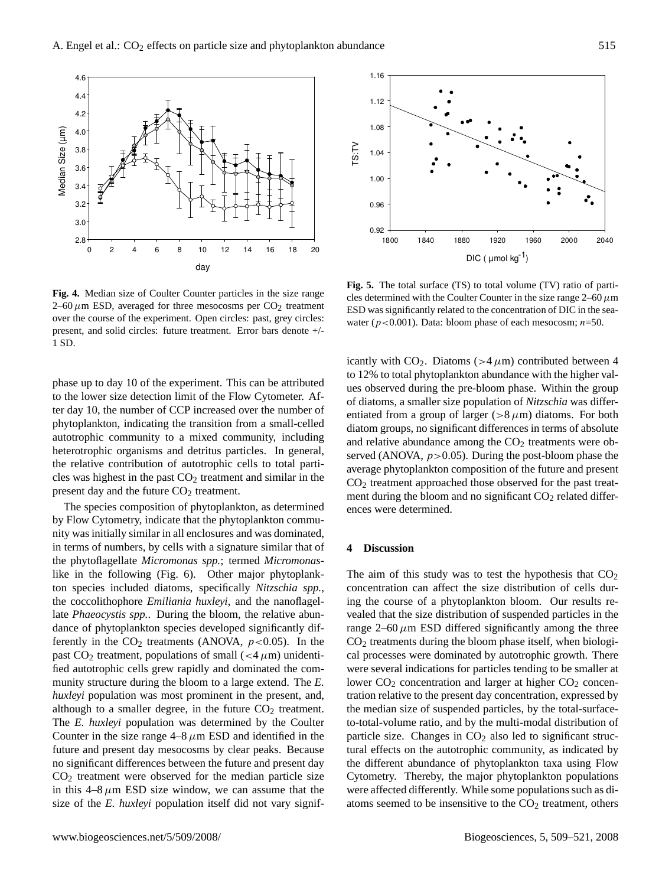

**Fig. 4.** Median size of Coulter Counter particles in the size range 2–60  $\mu$ m ESD, averaged for three mesocosms per CO<sub>2</sub> treatment over the course of the experiment. Open circles: past, grey circles: present, and solid circles: future treatment. Error bars denote +/- 1 SD.

phase up to day 10 of the experiment. This can be attributed to the lower size detection limit of the Flow Cytometer. After day 10, the number of CCP increased over the number of phytoplankton, indicating the transition from a small-celled autotrophic community to a mixed community, including heterotrophic organisms and detritus particles. In general, the relative contribution of autotrophic cells to total particles was highest in the past  $CO<sub>2</sub>$  treatment and similar in the present day and the future  $CO<sub>2</sub>$  treatment.

The species composition of phytoplankton, as determined by Flow Cytometry, indicate that the phytoplankton community was initially similar in all enclosures and was dominated, in terms of numbers, by cells with a signature similar that of the phytoflagellate *Micromonas spp.*; termed *Micromonas*like in the following (Fig. 6). Other major phytoplankton species included diatoms, specifically *Nitzschia spp.*, the coccolithophore *Emiliania huxleyi*, and the nanoflagellate *Phaeocystis spp.*. During the bloom, the relative abundance of phytoplankton species developed significantly differently in the  $CO<sub>2</sub>$  treatments (ANOVA,  $p < 0.05$ ). In the past CO<sub>2</sub> treatment, populations of small ( $<$ 4 $\mu$ m) unidentified autotrophic cells grew rapidly and dominated the community structure during the bloom to a large extend. The *E. huxleyi* population was most prominent in the present, and, although to a smaller degree, in the future  $CO<sub>2</sub>$  treatment. The *E. huxleyi* population was determined by the Coulter Counter in the size range  $4-8 \mu m$  ESD and identified in the future and present day mesocosms by clear peaks. Because no significant differences between the future and present day  $CO<sub>2</sub>$  treatment were observed for the median particle size in this  $4-8 \mu m$  ESD size window, we can assume that the size of the *E. huxleyi* population itself did not vary signif-



**Fig. 5.** The total surface (TS) to total volume (TV) ratio of particles determined with the Coulter Counter in the size range  $2-60 \mu m$ ESD was significantly related to the concentration of DIC in the seawater ( $p < 0.001$ ). Data: bloom phase of each mesocosm;  $n=50$ .

icantly with  $CO_2$ . Diatoms (>4 $\mu$ m) contributed between 4 to 12% to total phytoplankton abundance with the higher values observed during the pre-bloom phase. Within the group of diatoms, a smaller size population of *Nitzschia* was differentiated from a group of larger ( $>8 \mu m$ ) diatoms. For both diatom groups, no significant differences in terms of absolute and relative abundance among the  $CO<sub>2</sub>$  treatments were observed (ANOVA,  $p > 0.05$ ). During the post-bloom phase the average phytoplankton composition of the future and present CO<sup>2</sup> treatment approached those observed for the past treatment during the bloom and no significant  $CO<sub>2</sub>$  related differences were determined.

#### **4 Discussion**

The aim of this study was to test the hypothesis that  $CO<sub>2</sub>$ concentration can affect the size distribution of cells during the course of a phytoplankton bloom. Our results revealed that the size distribution of suspended particles in the range  $2-60 \mu m$  ESD differed significantly among the three CO<sup>2</sup> treatments during the bloom phase itself, when biological processes were dominated by autotrophic growth. There were several indications for particles tending to be smaller at lower  $CO<sub>2</sub>$  concentration and larger at higher  $CO<sub>2</sub>$  concentration relative to the present day concentration, expressed by the median size of suspended particles, by the total-surfaceto-total-volume ratio, and by the multi-modal distribution of particle size. Changes in  $CO<sub>2</sub>$  also led to significant structural effects on the autotrophic community, as indicated by the different abundance of phytoplankton taxa using Flow Cytometry. Thereby, the major phytoplankton populations were affected differently. While some populations such as diatoms seemed to be insensitive to the  $CO<sub>2</sub>$  treatment, others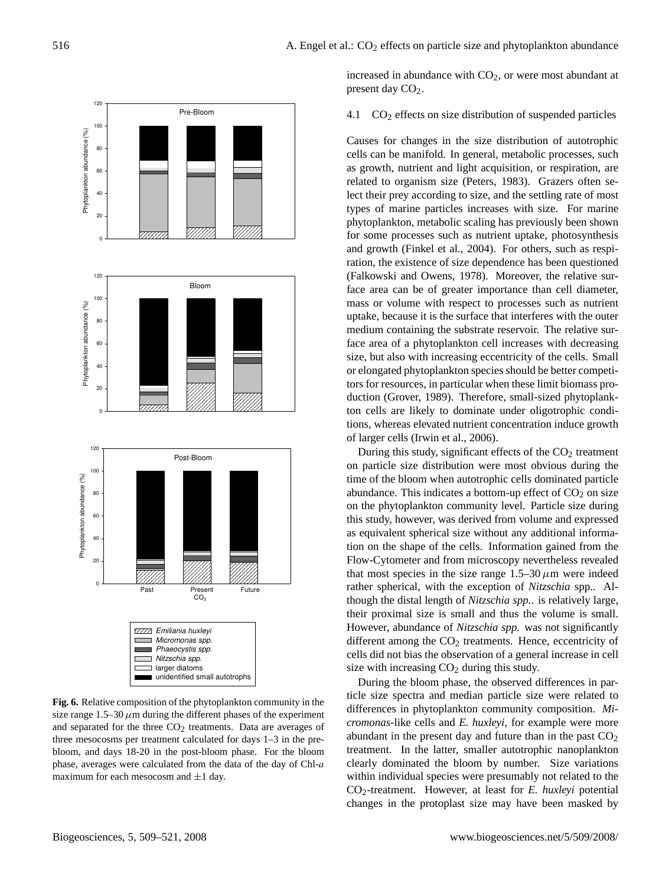

Fig. 6. Relative composition of the phytoplankton community in the size range  $1.5-30 \mu m$  during the different phases of the experiment and separated for the three  $CO<sub>2</sub>$  treatments. Data are averages of three mesocosms per treatment calculated for days 1–3 in the prebloom, and days 18-20 in the post-bloom phase. For the bloom phase, averages were calculated from the data of the day of Chl-a maximum for each mesocosm and  $\pm 1$  day.

increased in abundance with  $CO<sub>2</sub>$ , or were most abundant at present day  $CO<sub>2</sub>$ .

## 4.1  $CO<sub>2</sub>$  effects on size distribution of suspended particles

Causes for changes in the size distribution of autotrophic cells can be manifold. In general, metabolic processes, such as growth, nutrient and light acquisition, or respiration, are related to organism size (Peters, 1983). Grazers often select their prey according to size, and the settling rate of most types of marine particles increases with size. For marine phytoplankton, metabolic scaling has previously been shown for some processes such as nutrient uptake, photosynthesis and growth (Finkel et al., 2004). For others, such as respiration, the existence of size dependence has been questioned (Falkowski and Owens, 1978). Moreover, the relative surface area can be of greater importance than cell diameter, mass or volume with respect to processes such as nutrient uptake, because it is the surface that interferes with the outer medium containing the substrate reservoir. The relative surface area of a phytoplankton cell increases with decreasing size, but also with increasing eccentricity of the cells. Small or elongated phytoplankton species should be better competitors for resources, in particular when these limit biomass production (Grover, 1989). Therefore, small-sized phytoplankton cells are likely to dominate under oligotrophic conditions, whereas elevated nutrient concentration induce growth of larger cells (Irwin et al., 2006).

During this study, significant effects of the  $CO<sub>2</sub>$  treatment on particle size distribution were most obvious during the time of the bloom when autotrophic cells dominated particle abundance. This indicates a bottom-up effect of  $CO<sub>2</sub>$  on size on the phytoplankton community level. Particle size during this study, however, was derived from volume and expressed as equivalent spherical size without any additional information on the shape of the cells. Information gained from the Flow-Cytometer and from microscopy nevertheless revealed that most species in the size range  $1.5-30 \,\mu m$  were indeed rather spherical, with the exception of *Nitzschia* spp.. Although the distal length of *Nitzschia spp.*. is relatively large, their proximal size is small and thus the volume is small. However, abundance of *Nitzschia spp.* was not significantly different among the  $CO<sub>2</sub>$  treatments. Hence, eccentricity of cells did not bias the observation of a general increase in cell size with increasing  $CO<sub>2</sub>$  during this study.

During the bloom phase, the observed differences in particle size spectra and median particle size were related to differences in phytoplankton community composition. *Micromonas*-like cells and *E. huxleyi*, for example were more abundant in the present day and future than in the past  $CO<sub>2</sub>$ treatment. In the latter, smaller autotrophic nanoplankton clearly dominated the bloom by number. Size variations within individual species were presumably not related to the CO2-treatment. However, at least for *E. huxleyi* potential changes in the protoplast size may have been masked by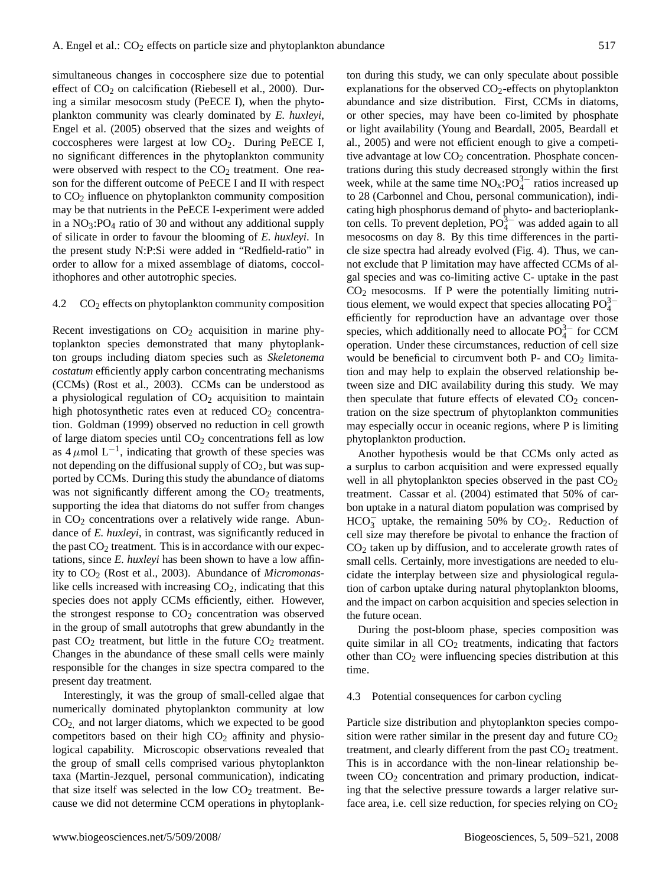simultaneous changes in coccosphere size due to potential effect of  $CO<sub>2</sub>$  on calcification (Riebesell et al., 2000). During a similar mesocosm study (PeECE I), when the phytoplankton community was clearly dominated by *E. huxleyi*, Engel et al. (2005) observed that the sizes and weights of coccospheres were largest at low  $CO<sub>2</sub>$ . During PeECE I, no significant differences in the phytoplankton community were observed with respect to the  $CO<sub>2</sub>$  treatment. One reason for the different outcome of PeECE I and II with respect to CO<sub>2</sub> influence on phytoplankton community composition may be that nutrients in the PeECE I-experiment were added in a  $NO<sub>3</sub>:PO<sub>4</sub>$  ratio of 30 and without any additional supply of silicate in order to favour the blooming of *E. huxleyi*. In the present study N:P:Si were added in "Redfield-ratio" in order to allow for a mixed assemblage of diatoms, coccolithophores and other autotrophic species.

#### 4.2  $CO<sub>2</sub>$  effects on phytoplankton community composition

Recent investigations on  $CO<sub>2</sub>$  acquisition in marine phytoplankton species demonstrated that many phytoplankton groups including diatom species such as *Skeletonema costatum* efficiently apply carbon concentrating mechanisms (CCMs) (Rost et al., 2003). CCMs can be understood as a physiological regulation of  $CO<sub>2</sub>$  acquisition to maintain high photosynthetic rates even at reduced  $CO<sub>2</sub>$  concentration. Goldman (1999) observed no reduction in cell growth of large diatom species until CO<sub>2</sub> concentrations fell as low as  $4 \mu$ mol L<sup>-1</sup>, indicating that growth of these species was not depending on the diffusional supply of  $CO<sub>2</sub>$ , but was supported by CCMs. During this study the abundance of diatoms was not significantly different among the  $CO<sub>2</sub>$  treatments, supporting the idea that diatoms do not suffer from changes in  $CO<sub>2</sub>$  concentrations over a relatively wide range. Abundance of *E. huxleyi*, in contrast, was significantly reduced in the past  $CO<sub>2</sub>$  treatment. This is in accordance with our expectations, since *E. huxleyi* has been shown to have a low affinity to CO<sub>2</sub> (Rost et al., 2003). Abundance of *Micromonas*like cells increased with increasing  $CO<sub>2</sub>$ , indicating that this species does not apply CCMs efficiently, either. However, the strongest response to  $CO<sub>2</sub>$  concentration was observed in the group of small autotrophs that grew abundantly in the past  $CO<sub>2</sub>$  treatment, but little in the future  $CO<sub>2</sub>$  treatment. Changes in the abundance of these small cells were mainly responsible for the changes in size spectra compared to the present day treatment.

Interestingly, it was the group of small-celled algae that numerically dominated phytoplankton community at low CO2, and not larger diatoms, which we expected to be good competitors based on their high  $CO<sub>2</sub>$  affinity and physiological capability. Microscopic observations revealed that the group of small cells comprised various phytoplankton taxa (Martin-Jezquel, personal communication), indicating that size itself was selected in the low  $CO<sub>2</sub>$  treatment. Because we did not determine CCM operations in phytoplankton during this study, we can only speculate about possible explanations for the observed  $CO<sub>2</sub>$ -effects on phytoplankton abundance and size distribution. First, CCMs in diatoms, or other species, may have been co-limited by phosphate or light availability (Young and Beardall, 2005, Beardall et al., 2005) and were not efficient enough to give a competitive advantage at low  $CO<sub>2</sub>$  concentration. Phosphate concentrations during this study decreased strongly within the first week, while at the same time  $NO_x$ : $PO_4^{3-}$  ratios increased up to 28 (Carbonnel and Chou, personal communication), indicating high phosphorus demand of phyto- and bacterioplankton cells. To prevent depletion,  $PO_4^{3-}$  was added again to all mesocosms on day 8. By this time differences in the particle size spectra had already evolved (Fig. 4). Thus, we cannot exclude that P limitation may have affected CCMs of algal species and was co-limiting active C- uptake in the past  $CO<sub>2</sub>$  mesocosms. If P were the potentially limiting nutritious element, we would expect that species allocating  $PO_4^{3-}$ efficiently for reproduction have an advantage over those species, which additionally need to allocate  $PO_4^{3-}$  for CCM operation. Under these circumstances, reduction of cell size would be beneficial to circumvent both  $P-$  and  $CO<sub>2</sub>$  limitation and may help to explain the observed relationship between size and DIC availability during this study. We may then speculate that future effects of elevated  $CO<sub>2</sub>$  concentration on the size spectrum of phytoplankton communities may especially occur in oceanic regions, where P is limiting phytoplankton production.

Another hypothesis would be that CCMs only acted as a surplus to carbon acquisition and were expressed equally well in all phytoplankton species observed in the past  $CO<sub>2</sub>$ treatment. Cassar et al. (2004) estimated that 50% of carbon uptake in a natural diatom population was comprised by  $HCO<sub>3</sub><sup>-</sup>$  uptake, the remaining 50% by CO<sub>2</sub>. Reduction of cell size may therefore be pivotal to enhance the fraction of  $CO<sub>2</sub>$  taken up by diffusion, and to accelerate growth rates of small cells. Certainly, more investigations are needed to elucidate the interplay between size and physiological regulation of carbon uptake during natural phytoplankton blooms, and the impact on carbon acquisition and species selection in the future ocean.

During the post-bloom phase, species composition was quite similar in all  $CO<sub>2</sub>$  treatments, indicating that factors other than  $CO<sub>2</sub>$  were influencing species distribution at this time.

## 4.3 Potential consequences for carbon cycling

Particle size distribution and phytoplankton species composition were rather similar in the present day and future  $CO<sub>2</sub>$ treatment, and clearly different from the past  $CO<sub>2</sub>$  treatment. This is in accordance with the non-linear relationship between CO<sub>2</sub> concentration and primary production, indicating that the selective pressure towards a larger relative surface area, i.e. cell size reduction, for species relying on  $CO<sub>2</sub>$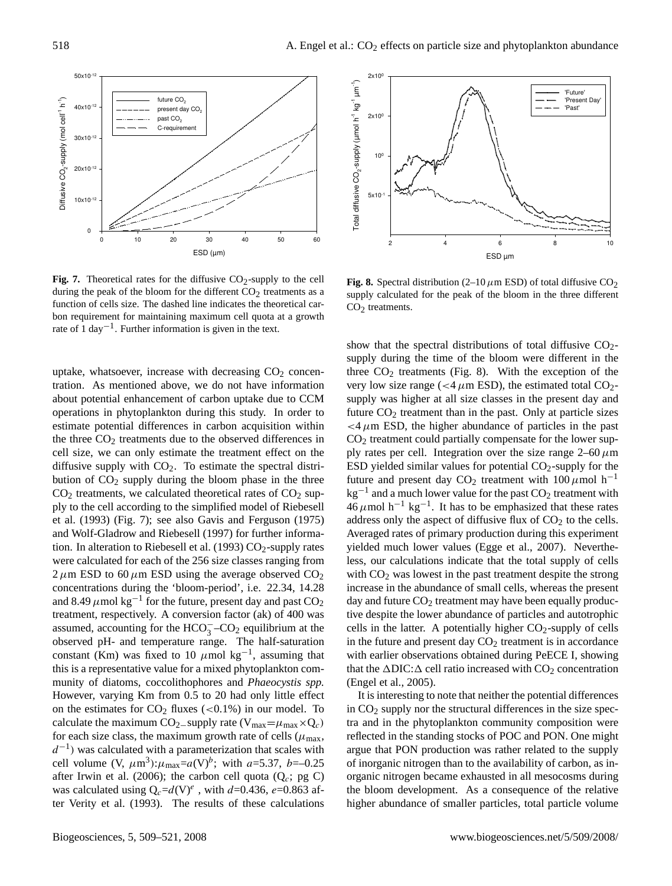

during the peak of the bloom for the different  $CO_2$  treatments as a **Fig. 7.** Theoretical rates for the diffusive  $CO<sub>2</sub>$ -supply to the cell function of cells size. The dashed line indicates the theoretical carbon requirement for maintaining maximum cell quota at a growth rate of 1 day−<sup>1</sup> . Further information is given in the text.

uptake, whatsoever, increase with decreasing  $CO<sub>2</sub>$  concentration. As mentioned above, we do not have information about potential enhancement of carbon uptake due to CCM operations in phytoplankton during this study. In order to estimate potential differences in carbon acquisition within the three  $CO<sub>2</sub>$  treatments due to the observed differences in cell size, we can only estimate the treatment effect on the diffusive supply with  $CO<sub>2</sub>$ . To estimate the spectral distribution of  $CO<sub>2</sub>$  supply during the bloom phase in the three  $CO<sub>2</sub>$  treatments, we calculated theoretical rates of  $CO<sub>2</sub>$  supply to the cell according to the simplified model of Riebesell et al. (1993) (Fig. 7); see also Gavis and Ferguson (1975) and Wolf-Gladrow and Riebesell (1997) for further information. In alteration to Riebesell et al. (1993)  $CO_2$ -supply rates were calculated for each of the 256 size classes ranging from  $2 \mu$ m ESD to 60  $\mu$ m ESD using the average observed CO<sub>2</sub> concentrations during the 'bloom-period', i.e. 22.34, 14.28 and 8.49  $\mu$ mol kg<sup>-1</sup> for the future, present day and past CO<sub>2</sub> treatment, respectively. A conversion factor (ak) of 400 was assumed, accounting for the  $HCO<sub>3</sub><sup>-</sup>CO<sub>2</sub>$  equilibrium at the observed pH- and temperature range. The half-saturation constant (Km) was fixed to 10  $\mu$ mol kg<sup>-1</sup>, assuming that this is a representative value for a mixed phytoplankton community of diatoms, coccolithophores and *Phaeocystis spp.* However, varying Km from 0.5 to 20 had only little effect on the estimates for  $CO<sub>2</sub>$  fluxes (<0.1%) in our model. To calculate the maximum CO<sub>2</sub>−supply rate (V<sub>max</sub>= $\mu$ <sub>max</sub>×Q<sub>c</sub>) for each size class, the maximum growth rate of cells ( $\mu_{\text{max}}$ ,  $d^{-1}$ ) was calculated with a parameterization that scales with cell volume (V,  $\mu$ m<sup>3</sup>): $\mu$ <sub>max</sub>=a(V)<sup>b</sup>; with a=5.37, b=-0.25 after Irwin et al. (2006); the carbon cell quota ( $Q_c$ ; pg C) was calculated using  $Q_c = d(V)^e$ , with  $d = 0.436$ ,  $e = 0.863$  after Verity et al. (1993). The results of these calculations



supply calculated for the peak of the bloom in the three different **Fig. 8.** Spectral distribution (2–10  $\mu$ m ESD) of total diffusive CO<sub>2</sub>  $CO<sub>2</sub>$  treatments.

 supply during the time of the bloom were different in the show that the spectral distributions of total diffusive  $CO<sub>2</sub>$ three  $CO<sub>2</sub>$  treatments (Fig. 8). With the exception of the very low size range ( $<$ 4  $\mu$ m ESD), the estimated total CO<sub>2</sub>supply was higher at all size classes in the present day and future  $CO<sub>2</sub>$  treatment than in the past. Only at particle sizes  $<$  4  $\mu$ m ESD, the higher abundance of particles in the past  $CO<sub>2</sub>$  treatment could partially compensate for the lower supply rates per cell. Integration over the size range  $2-60 \mu m$ ESD yielded similar values for potential  $CO<sub>2</sub>$ -supply for the future and present day CO<sub>2</sub> treatment with  $100 \mu$ mol h<sup>-1</sup>  $kg^{-1}$  and a much lower value for the past  $CO<sub>2</sub>$  treatment with  $46 \mu$ mol h<sup>-1</sup> kg<sup>-1</sup>. It has to be emphasized that these rates address only the aspect of diffusive flux of  $CO<sub>2</sub>$  to the cells. Averaged rates of primary production during this experiment yielded much lower values (Egge et al., 2007). Nevertheless, our calculations indicate that the total supply of cells with  $CO<sub>2</sub>$  was lowest in the past treatment despite the strong increase in the abundance of small cells, whereas the present day and future  $CO<sub>2</sub>$  treatment may have been equally productive despite the lower abundance of particles and autotrophic cells in the latter. A potentially higher  $CO_2$ -supply of cells in the future and present day  $CO<sub>2</sub>$  treatment is in accordance with earlier observations obtained during PeECE I, showing that the  $\Delta \text{DIC: } \Delta$  cell ratio increased with  $\text{CO}_2$  concentration (Engel et al., 2005).

It is interesting to note that neither the potential differences in  $CO<sub>2</sub>$  supply nor the structural differences in the size spectra and in the phytoplankton community composition were reflected in the standing stocks of POC and PON. One might argue that PON production was rather related to the supply of inorganic nitrogen than to the availability of carbon, as inorganic nitrogen became exhausted in all mesocosms during the bloom development. As a consequence of the relative higher abundance of smaller particles, total particle volume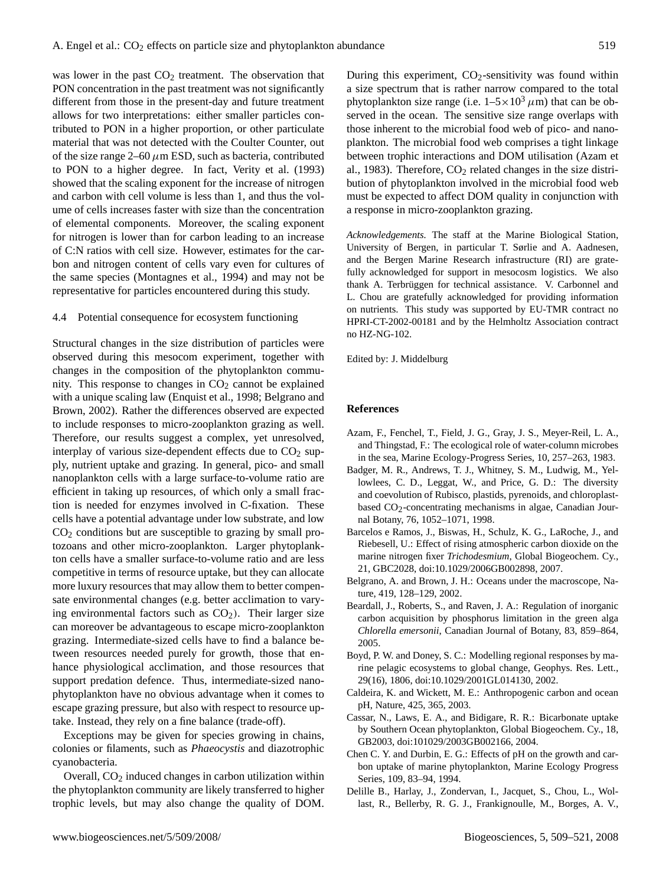was lower in the past  $CO<sub>2</sub>$  treatment. The observation that PON concentration in the past treatment was not significantly different from those in the present-day and future treatment allows for two interpretations: either smaller particles contributed to PON in a higher proportion, or other particulate material that was not detected with the Coulter Counter, out of the size range 2–60  $\mu$ m ESD, such as bacteria, contributed to PON to a higher degree. In fact, Verity et al. (1993) showed that the scaling exponent for the increase of nitrogen and carbon with cell volume is less than 1, and thus the volume of cells increases faster with size than the concentration of elemental components. Moreover, the scaling exponent for nitrogen is lower than for carbon leading to an increase of C:N ratios with cell size. However, estimates for the carbon and nitrogen content of cells vary even for cultures of the same species (Montagnes et al., 1994) and may not be representative for particles encountered during this study.

## 4.4 Potential consequence for ecosystem functioning

Structural changes in the size distribution of particles were observed during this mesocom experiment, together with changes in the composition of the phytoplankton community. This response to changes in  $CO<sub>2</sub>$  cannot be explained with a unique scaling law (Enquist et al., 1998; Belgrano and Brown, 2002). Rather the differences observed are expected to include responses to micro-zooplankton grazing as well. Therefore, our results suggest a complex, yet unresolved, interplay of various size-dependent effects due to  $CO<sub>2</sub>$  supply, nutrient uptake and grazing. In general, pico- and small nanoplankton cells with a large surface-to-volume ratio are efficient in taking up resources, of which only a small fraction is needed for enzymes involved in C-fixation. These cells have a potential advantage under low substrate, and low  $CO<sub>2</sub>$  conditions but are susceptible to grazing by small protozoans and other micro-zooplankton. Larger phytoplankton cells have a smaller surface-to-volume ratio and are less competitive in terms of resource uptake, but they can allocate more luxury resources that may allow them to better compensate environmental changes (e.g. better acclimation to varying environmental factors such as  $CO<sub>2</sub>$ ). Their larger size can moreover be advantageous to escape micro-zooplankton grazing. Intermediate-sized cells have to find a balance between resources needed purely for growth, those that enhance physiological acclimation, and those resources that support predation defence. Thus, intermediate-sized nanophytoplankton have no obvious advantage when it comes to escape grazing pressure, but also with respect to resource uptake. Instead, they rely on a fine balance (trade-off).

Exceptions may be given for species growing in chains, colonies or filaments, such as *Phaeocystis* and diazotrophic cyanobacteria.

Overall, CO<sub>2</sub> induced changes in carbon utilization within the phytoplankton community are likely transferred to higher trophic levels, but may also change the quality of DOM. During this experiment,  $CO_2$ -sensitivity was found within a size spectrum that is rather narrow compared to the total phytoplankton size range (i.e.  $1-5 \times 10^3 \mu$ m) that can be observed in the ocean. The sensitive size range overlaps with those inherent to the microbial food web of pico- and nanoplankton. The microbial food web comprises a tight linkage between trophic interactions and DOM utilisation (Azam et al., 1983). Therefore,  $CO<sub>2</sub>$  related changes in the size distribution of phytoplankton involved in the microbial food web must be expected to affect DOM quality in conjunction with a response in micro-zooplankton grazing.

*Acknowledgements.* The staff at the Marine Biological Station, University of Bergen, in particular T. Sørlie and A. Aadnesen, and the Bergen Marine Research infrastructure (RI) are gratefully acknowledged for support in mesocosm logistics. We also thank A. Terbrüggen for technical assistance. V. Carbonnel and L. Chou are gratefully acknowledged for providing information on nutrients. This study was supported by EU-TMR contract no HPRI-CT-2002-00181 and by the Helmholtz Association contract no HZ-NG-102.

Edited by: J. Middelburg

#### **References**

- Azam, F., Fenchel, T., Field, J. G., Gray, J. S., Meyer-Reil, L. A., and Thingstad, F.: The ecological role of water-column microbes in the sea, Marine Ecology-Progress Series, 10, 257–263, 1983.
- Badger, M. R., Andrews, T. J., Whitney, S. M., Ludwig, M., Yellowlees, C. D., Leggat, W., and Price, G. D.: The diversity and coevolution of Rubisco, plastids, pyrenoids, and chloroplastbased  $CO<sub>2</sub>$ -concentrating mechanisms in algae, Canadian Journal Botany, 76, 1052–1071, 1998.
- Barcelos e Ramos, J., Biswas, H., Schulz, K. G., LaRoche, J., and Riebesell, U.: Effect of rising atmospheric carbon dioxide on the marine nitrogen fixer *Trichodesmium*, Global Biogeochem. Cy., 21, GBC2028, doi:10.1029/2006GB002898, 2007.
- Belgrano, A. and Brown, J. H.: Oceans under the macroscope, Nature, 419, 128–129, 2002.
- Beardall, J., Roberts, S., and Raven, J. A.: Regulation of inorganic carbon acquisition by phosphorus limitation in the green alga *Chlorella emersonii*, Canadian Journal of Botany, 83, 859–864, 2005.
- Boyd, P. W. and Doney, S. C.: Modelling regional responses by marine pelagic ecosystems to global change, Geophys. Res. Lett., 29(16), 1806, doi:10.1029/2001GL014130, 2002.
- Caldeira, K. and Wickett, M. E.: Anthropogenic carbon and ocean pH, Nature, 425, 365, 2003.
- Cassar, N., Laws, E. A., and Bidigare, R. R.: Bicarbonate uptake by Southern Ocean phytoplankton, Global Biogeochem. Cy., 18, GB2003, doi:101029/2003GB002166, 2004.
- Chen C. Y. and Durbin, E. G.: Effects of pH on the growth and carbon uptake of marine phytoplankton, Marine Ecology Progress Series, 109, 83–94, 1994.
- Delille B., Harlay, J., Zondervan, I., Jacquet, S., Chou, L., Wollast, R., Bellerby, R. G. J., Frankignoulle, M., Borges, A. V.,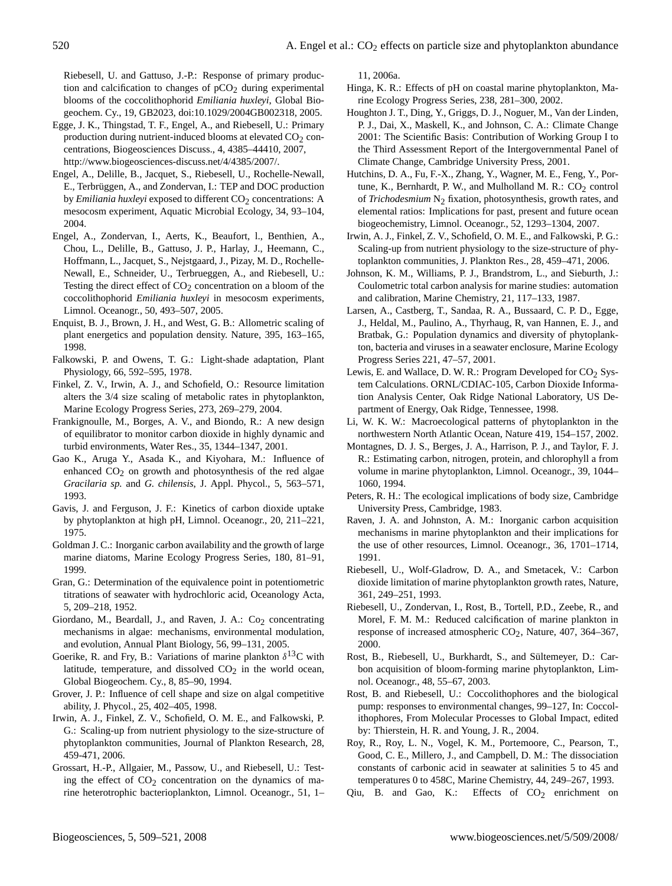Riebesell, U. and Gattuso, J.-P.: Response of primary production and calcification to changes of  $pCO<sub>2</sub>$  during experimental blooms of the coccolithophorid *Emiliania huxleyi*, Global Biogeochem. Cy., 19, GB2023, doi:10.1029/2004GB002318, 2005.

- Egge, J. K., Thingstad, T. F., Engel, A., and Riebesell, U.: Primary production during nutrient-induced blooms at elevated  $CO<sub>2</sub>$  concentrations, Biogeosciences Discuss., 4, 4385–44410, 2007, [http://www.biogeosciences-discuss.net/4/4385/2007/.](http://www.biogeosciences-discuss.net/4/4385/2007/)
- Engel, A., Delille, B., Jacquet, S., Riebesell, U., Rochelle-Newall, E., Terbrüggen, A., and Zondervan, I.: TEP and DOC production by *Emiliania huxleyi* exposed to different CO<sub>2</sub> concentrations: A mesocosm experiment, Aquatic Microbial Ecology, 34, 93–104, 2004.
- Engel, A., Zondervan, I., Aerts, K., Beaufort, l., Benthien, A., Chou, L., Delille, B., Gattuso, J. P., Harlay, J., Heemann, C., Hoffmann, L., Jacquet, S., Nejstgaard, J., Pizay, M. D., Rochelle-Newall, E., Schneider, U., Terbrueggen, A., and Riebesell, U.: Testing the direct effect of  $CO<sub>2</sub>$  concentration on a bloom of the coccolithophorid *Emiliania huxleyi* in mesocosm experiments, Limnol. Oceanogr., 50, 493–507, 2005.
- Enquist, B. J., Brown, J. H., and West, G. B.: Allometric scaling of plant energetics and population density. Nature, 395, 163–165, 1998.
- Falkowski, P. and Owens, T. G.: Light-shade adaptation, Plant Physiology, 66, 592–595, 1978.
- Finkel, Z. V., Irwin, A. J., and Schofield, O.: Resource limitation alters the 3/4 size scaling of metabolic rates in phytoplankton, Marine Ecology Progress Series, 273, 269–279, 2004.
- Frankignoulle, M., Borges, A. V., and Biondo, R.: A new design of equilibrator to monitor carbon dioxide in highly dynamic and turbid environments, Water Res., 35, 1344–1347, 2001.
- Gao K., Aruga Y., Asada K., and Kiyohara, M.: Influence of enhanced  $CO<sub>2</sub>$  on growth and photosynthesis of the red algae *Gracilaria sp.* and *G. chilensis*, J. Appl. Phycol., 5, 563–571, 1993.
- Gavis, J. and Ferguson, J. F.: Kinetics of carbon dioxide uptake by phytoplankton at high pH, Limnol. Oceanogr., 20, 211–221, 1975.
- Goldman J. C.: Inorganic carbon availability and the growth of large marine diatoms, Marine Ecology Progress Series, 180, 81–91, 1999.
- Gran, G.: Determination of the equivalence point in potentiometric titrations of seawater with hydrochloric acid, Oceanology Acta, 5, 209–218, 1952.
- Giordano, M., Beardall, J., and Raven, J. A.: Co<sub>2</sub> concentrating mechanisms in algae: mechanisms, environmental modulation, and evolution, Annual Plant Biology, 56, 99–131, 2005.
- Goerike, R. and Fry, B.: Variations of marine plankton  $\delta^{13}C$  with latitude, temperature, and dissolved  $CO<sub>2</sub>$  in the world ocean, Global Biogeochem. Cy., 8, 85–90, 1994.
- Grover, J. P.: Influence of cell shape and size on algal competitive ability, J. Phycol., 25, 402–405, 1998.
- Irwin, A. J., Finkel, Z. V., Schofield, O. M. E., and Falkowski, P. G.: Scaling-up from nutrient physiology to the size-structure of phytoplankton communities, Journal of Plankton Research, 28, 459-471, 2006.
- Grossart, H.-P., Allgaier, M., Passow, U., and Riebesell, U.: Testing the effect of  $CO<sub>2</sub>$  concentration on the dynamics of marine heterotrophic bacterioplankton, Limnol. Oceanogr., 51, 1–

11, 2006a.

- Hinga, K. R.: Effects of pH on coastal marine phytoplankton, Marine Ecology Progress Series, 238, 281–300, 2002.
- Houghton J. T., Ding, Y., Griggs, D. J., Noguer, M., Van der Linden, P. J., Dai, X., Maskell, K., and Johnson, C. A.: Climate Change 2001: The Scientific Basis: Contribution of Working Group I to the Third Assessment Report of the Intergovernmental Panel of Climate Change, Cambridge University Press, 2001.
- Hutchins, D. A., Fu, F.-X., Zhang, Y., Wagner, M. E., Feng, Y., Portune, K., Bernhardt, P. W., and Mulholland M. R.:  $CO<sub>2</sub>$  control of *Trichodesmium* N<sub>2</sub> fixation, photosynthesis, growth rates, and elemental ratios: Implications for past, present and future ocean biogeochemistry, Limnol. Oceanogr., 52, 1293–1304, 2007.
- Irwin, A. J., Finkel, Z. V., Schofield, O. M. E., and Falkowski, P. G.: Scaling-up from nutrient physiology to the size-structure of phytoplankton communities, J. Plankton Res., 28, 459–471, 2006.
- Johnson, K. M., Williams, P. J., Brandstrom, L., and Sieburth, J.: Coulometric total carbon analysis for marine studies: automation and calibration, Marine Chemistry, 21, 117–133, 1987.
- Larsen, A., Castberg, T., Sandaa, R. A., Bussaard, C. P. D., Egge, J., Heldal, M., Paulino, A., Thyrhaug, R, van Hannen, E. J., and Bratbak, G.: Population dynamics and diversity of phytoplankton, bacteria and viruses in a seawater enclosure, Marine Ecology Progress Series 221, 47–57, 2001.
- Lewis, E. and Wallace, D. W. R.: Program Developed for  $CO<sub>2</sub>$  System Calculations. ORNL/CDIAC-105, Carbon Dioxide Information Analysis Center, Oak Ridge National Laboratory, US Department of Energy, Oak Ridge, Tennessee, 1998.
- Li, W. K. W.: Macroecological patterns of phytoplankton in the northwestern North Atlantic Ocean, Nature 419, 154–157, 2002.
- Montagnes, D. J. S., Berges, J. A., Harrison, P. J., and Taylor, F. J. R.: Estimating carbon, nitrogen, protein, and chlorophyll a from volume in marine phytoplankton, Limnol. Oceanogr., 39, 1044– 1060, 1994.
- Peters, R. H.: The ecological implications of body size, Cambridge University Press, Cambridge, 1983.
- Raven, J. A. and Johnston, A. M.: Inorganic carbon acquisition mechanisms in marine phytoplankton and their implications for the use of other resources, Limnol. Oceanogr., 36, 1701–1714, 1991.
- Riebesell, U., Wolf-Gladrow, D. A., and Smetacek, V.: Carbon dioxide limitation of marine phytoplankton growth rates, Nature, 361, 249–251, 1993.
- Riebesell, U., Zondervan, I., Rost, B., Tortell, P.D., Zeebe, R., and Morel, F. M. M.: Reduced calcification of marine plankton in response of increased atmospheric  $CO<sub>2</sub>$ , Nature, 407, 364–367, 2000.
- Rost, B., Riebesell, U., Burkhardt, S., and Sültemeyer, D.: Carbon acquisition of bloom-forming marine phytoplankton, Limnol. Oceanogr., 48, 55–67, 2003.
- Rost, B. and Riebesell, U.: Coccolithophores and the biological pump: responses to environmental changes, 99–127, In: Coccolithophores, From Molecular Processes to Global Impact, edited by: Thierstein, H. R. and Young, J. R., 2004.
- Roy, R., Roy, L. N., Vogel, K. M., Portemoore, C., Pearson, T., Good, C. E., Millero, J., and Campbell, D. M.: The dissociation constants of carbonic acid in seawater at salinities 5 to 45 and temperatures 0 to 458C, Marine Chemistry, 44, 249–267, 1993.
- Qiu, B. and Gao, K.: Effects of  $CO<sub>2</sub>$  enrichment on